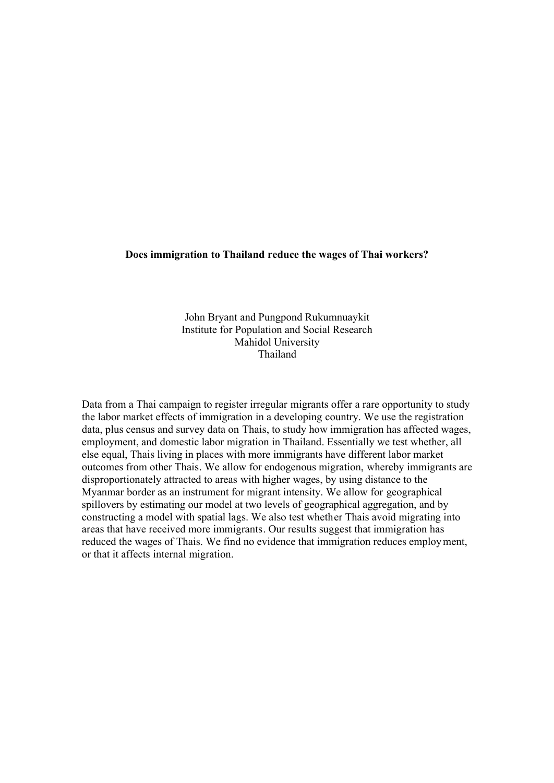#### **Does immigration to Thailand reduce the wages of Thai workers?**

John Bryant and Pungpond Rukumnuaykit Institute for Population and Social Research Mahidol University Thailand

Data from a Thai campaign to register irregular migrants offer a rare opportunity to study the labor market effects of immigration in a developing country. We use the registration data, plus census and survey data on Thais, to study how immigration has affected wages, employment, and domestic labor migration in Thailand. Essentially we test whether, all else equal, Thais living in places with more immigrants have different labor market outcomes from other Thais. We allow for endogenous migration, whereby immigrants are disproportionately attracted to areas with higher wages, by using distance to the Myanmar border as an instrument for migrant intensity. We allow for geographical spillovers by estimating our model at two levels of geographical aggregation, and by constructing a model with spatial lags. We also test whether Thais avoid migrating into areas that have received more immigrants. Our results suggest that immigration has reduced the wages of Thais. We find no evidence that immigration reduces employment, or that it affects internal migration.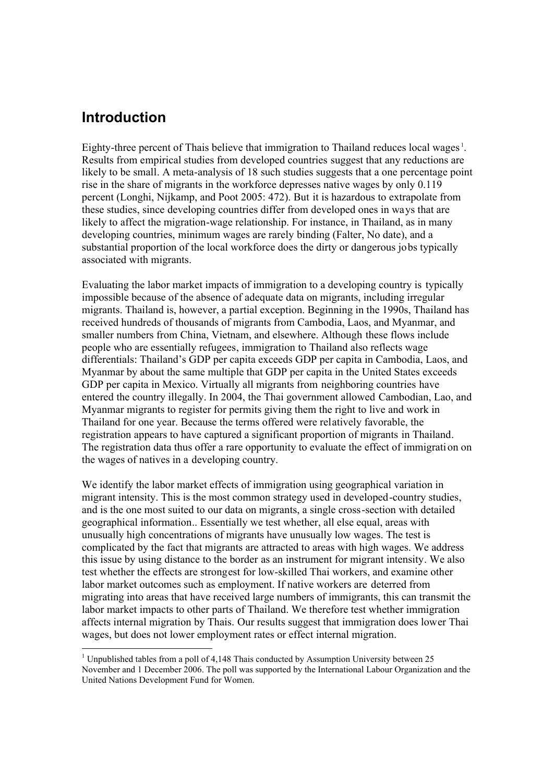## **Introduction**

-

Eighty-three percent of Thais believe that immigration to Thailand reduces local wages<sup>1</sup>. Results from empirical studies from developed countries suggest that any reductions are likely to be small. A meta-analysis of 18 such studies suggests that a one percentage point rise in the share of migrants in the workforce depresses native wages by only 0.119 percent (Longhi, Nijkamp, and Poot 2005: 472). But it is hazardous to extrapolate from these studies, since developing countries differ from developed ones in ways that are likely to affect the migration-wage relationship. For instance, in Thailand, as in many developing countries, minimum wages are rarely binding (Falter, No date), and a substantial proportion of the local workforce does the dirty or dangerous jobs typically associated with migrants.

Evaluating the labor market impacts of immigration to a developing country is typically impossible because of the absence of adequate data on migrants, including irregular migrants. Thailand is, however, a partial exception. Beginning in the 1990s, Thailand has received hundreds of thousands of migrants from Cambodia, Laos, and Myanmar, and smaller numbers from China, Vietnam, and elsewhere. Although these flows include people who are essentially refugees, immigration to Thailand also reflects wage differentials: Thailand's GDP per capita exceeds GDP per capita in Cambodia, Laos, and Myanmar by about the same multiple that GDP per capita in the United States exceeds GDP per capita in Mexico. Virtually all migrants from neighboring countries have entered the country illegally. In 2004, the Thai government allowed Cambodian, Lao, and Myanmar migrants to register for permits giving them the right to live and work in Thailand for one year. Because the terms offered were relatively favorable, the registration appears to have captured a significant proportion of migrants in Thailand. The registration data thus offer a rare opportunity to evaluate the effect of immigration on the wages of natives in a developing country.

We identify the labor market effects of immigration using geographical variation in migrant intensity. This is the most common strategy used in developed-country studies, and is the one most suited to our data on migrants, a single cross-section with detailed geographical information.. Essentially we test whether, all else equal, areas with unusually high concentrations of migrants have unusually low wages. The test is complicated by the fact that migrants are attracted to areas with high wages. We address this issue by using distance to the border as an instrument for migrant intensity. We also test whether the effects are strongest for low-skilled Thai workers, and examine other labor market outcomes such as employment. If native workers are deterred from migrating into areas that have received large numbers of immigrants, this can transmit the labor market impacts to other parts of Thailand. We therefore test whether immigration affects internal migration by Thais. Our results suggest that immigration does lower Thai wages, but does not lower employment rates or effect internal migration.

<sup>&</sup>lt;sup>1</sup> Unpublished tables from a poll of 4,148 Thais conducted by Assumption University between 25 November and 1 December 2006. The poll was supported by the International Labour Organization and the United Nations Development Fund for Women.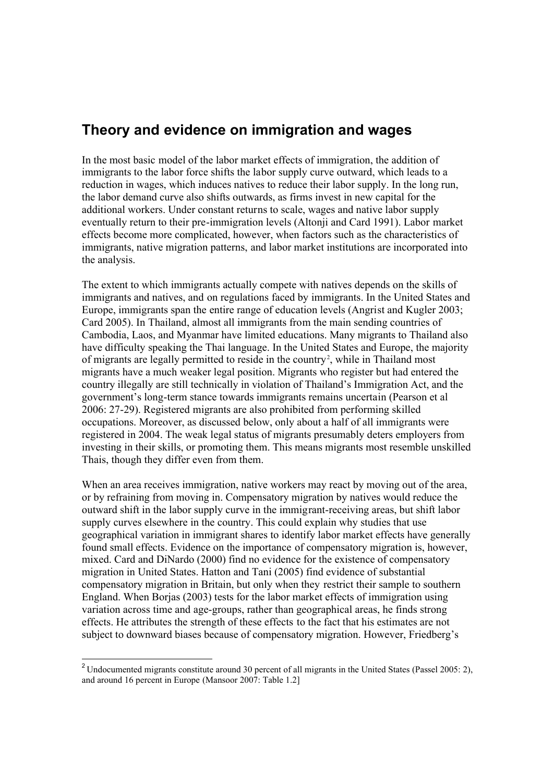# **Theory and evidence on immigration and wages**

In the most basic model of the labor market effects of immigration, the addition of immigrants to the labor force shifts the labor supply curve outward, which leads to a reduction in wages, which induces natives to reduce their labor supply. In the long run, the labor demand curve also shifts outwards, as firms invest in new capital for the additional workers. Under constant returns to scale, wages and native labor supply eventually return to their pre-immigration levels (Altonji and Card 1991). Labor market effects become more complicated, however, when factors such as the characteristics of immigrants, native migration patterns, and labor market institutions are incorporated into the analysis.

The extent to which immigrants actually compete with natives depends on the skills of immigrants and natives, and on regulations faced by immigrants. In the United States and Europe, immigrants span the entire range of education levels (Angrist and Kugler 2003; Card 2005). In Thailand, almost all immigrants from the main sending countries of Cambodia, Laos, and Myanmar have limited educations. Many migrants to Thailand also have difficulty speaking the Thai language. In the United States and Europe, the majority of migrants are legally permitted to reside in the country<sup>2</sup>, while in Thailand most migrants have a much weaker legal position. Migrants who register but had entered the country illegally are still technically in violation of Thailand's Immigration Act, and the government's long-term stance towards immigrants remains uncertain (Pearson et al 2006: 27-29). Registered migrants are also prohibited from performing skilled occupations. Moreover, as discussed below, only about a half of all immigrants were registered in 2004. The weak legal status of migrants presumably deters employers from investing in their skills, or promoting them. This means migrants most resemble unskilled Thais, though they differ even from them.

When an area receives immigration, native workers may react by moving out of the area, or by refraining from moving in. Compensatory migration by natives would reduce the outward shift in the labor supply curve in the immigrant-receiving areas, but shift labor supply curves elsewhere in the country. This could explain why studies that use geographical variation in immigrant shares to identify labor market effects have generally found small effects. Evidence on the importance of compensatory migration is, however, mixed. Card and DiNardo (2000) find no evidence for the existence of compensatory migration in United States. Hatton and Tani (2005) find evidence of substantial compensatory migration in Britain, but only when they restrict their sample to southern England. When Borjas (2003) tests for the labor market effects of immigration using variation across time and age-groups, rather than geographical areas, he finds strong effects. He attributes the strength of these effects to the fact that his estimates are not subject to downward biases because of compensatory migration. However, Friedberg's

 $\overline{a}$ 

<sup>&</sup>lt;sup>2</sup> Undocumented migrants constitute around 30 percent of all migrants in the United States (Passel 2005: 2), and around 16 percent in Europe (Mansoor 2007: Table 1.2]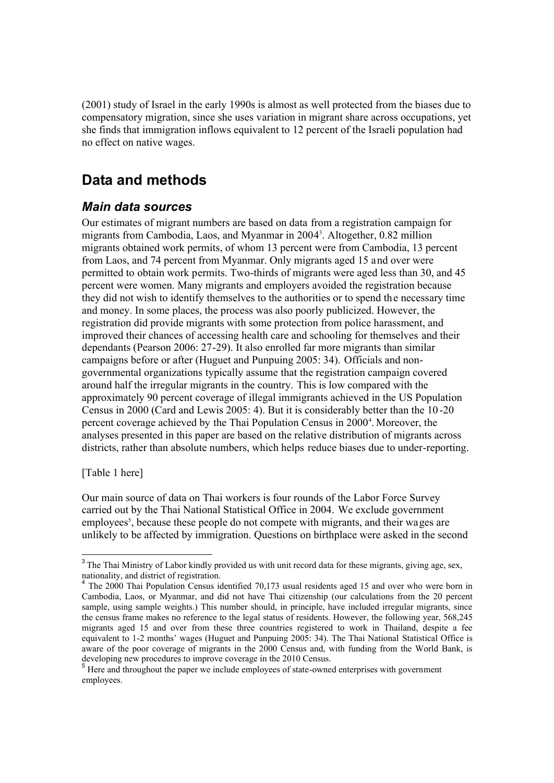(2001) study of Israel in the early 1990s is almost as well protected from the biases due to compensatory migration, since she uses variation in migrant share across occupations, yet she finds that immigration inflows equivalent to 12 percent of the Israeli population had no effect on native wages.

# **Data and methods**

### *Main data sources*

Our estimates of migrant numbers are based on data from a registration campaign for migrants from Cambodia, Laos, and Myanmar in 2004 3 . Altogether, 0.82 million migrants obtained work permits, of whom 13 percent were from Cambodia, 13 percent from Laos, and 74 percent from Myanmar. Only migrants aged 15 and over were permitted to obtain work permits. Two-thirds of migrants were aged less than 30, and 45 percent were women. Many migrants and employers avoided the registration because they did not wish to identify themselves to the authorities or to spend the necessary time and money. In some places, the process was also poorly publicized. However, the registration did provide migrants with some protection from police harassment, and improved their chances of accessing health care and schooling for themselves and their dependants (Pearson 2006: 27-29). It also enrolled far more migrants than similar campaigns before or after (Huguet and Punpuing 2005: 34). Officials and nongovernmental organizations typically assume that the registration campaign covered around half the irregular migrants in the country. This is low compared with the approximately 90 percent coverage of illegal immigrants achieved in the US Population Census in 2000 (Card and Lewis 2005: 4). But it is considerably better than the 10 -20 percent coverage achieved by the Thai Population Census in 2000<sup>4</sup>. Moreover, the analyses presented in this paper are based on the relative distribution of migrants across districts, rather than absolute numbers, which helps reduce biases due to under-reporting.

[Table 1 here]

Our main source of data on Thai workers is four rounds of the Labor Force Survey carried out by the Thai National Statistical Office in 2004. We exclude government employees<sup>5</sup>, because these people do not compete with migrants, and their wages are unlikely to be affected by immigration. Questions on birthplace were asked in the second

<sup>&</sup>lt;sup>3</sup>The Thai Ministry of Labor kindly provided us with unit record data for these migrants, giving age, sex, nationality, and district of registration.

<sup>&</sup>lt;sup>4</sup> The 2000 Thai Population Census identified 70,173 usual residents aged 15 and over who were born in Cambodia, Laos, or Myanmar, and did not have Thai citizenship (our calculations from the 20 percent sample, using sample weights.) This number should, in principle, have included irregular migrants, since the census frame makes no reference to the legal status of residents. However, the following year, 568,245 migrants aged 15 and over from these three countries registered to work in Thailand, despite a fee equivalent to 1-2 months' wages (Huguet and Punpuing 2005: 34). The Thai National Statistical Office is aware of the poor coverage of migrants in the 2000 Census and, with funding from the World Bank, is developing new procedures to improve coverage in the 2010 Census.

<sup>&</sup>lt;sup>5</sup> Here and throughout the paper we include employees of state-owned enterprises with government employees.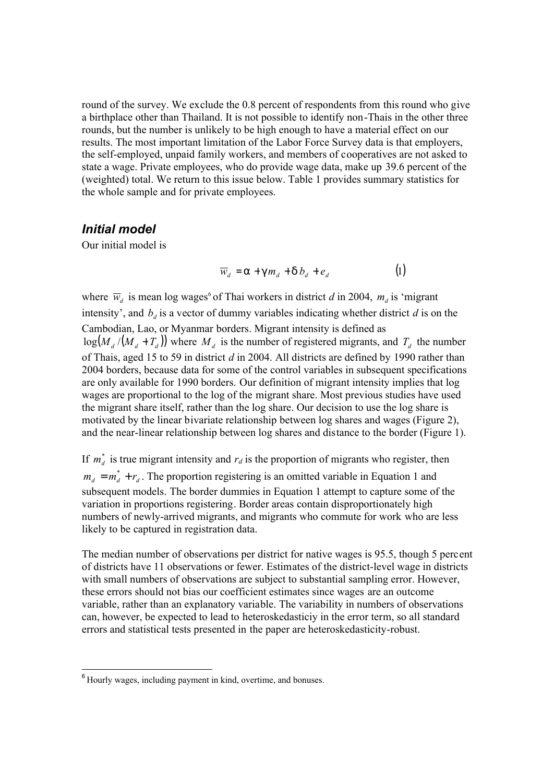round of the survey. We exclude the 0.8 percent of respondents from this round who give a birthplace other than Thailand. It is not possible to identify non-Thais in the other three rounds, but the number is unlikely to be high enough to have a material effect on our results. The most important limitation of the Labor Force Survey data is that employers, the self-employed, unpaid family workers, and members of cooperatives are not asked to state a wage. Private employees, who do provide wage data, make up 39.6 percent of the (weighted) total. We return to this issue below. Table 1 provides summary statistics for the whole sample and for private employees.

### *Initial model*

Our initial model is

$$
\overline{w}_d = a + g m_d + d b_d + e_d \tag{1}
$$

where  $\overline{w}_d$  is mean log wages<sup>6</sup> of Thai workers in district *d* in 2004,  $m_d$  is 'migrant intensity', and  $b_d$  is a vector of dummy variables indicating whether district  $d$  is on the Cambodian, Lao, or Myanmar borders. Migrant intensity is defined as  $log(M_d/(M_d + T_d))$  where  $M_d$  is the number of registered migrants, and  $T_d$  the number of Thais, aged 15 to 59 in district *d* in 2004. All districts are defined by 1990 rather than 2004 borders, because data for some of the control variables in subsequent specifications are only available for 1990 borders. Our definition of migrant intensity implies that log wages are proportional to the log of the migrant share. Most previous studies have used the migrant share itself, rather than the log share. Our decision to use the log share is motivated by the linear bivariate relationship between log shares and wages (Figure 2), and the near-linear relationship between log shares and distance to the border (Figure 1).

If  $m_d^*$  is true migrant intensity and  $r_d$  is the proportion of migrants who register, then  $m_d = m_d^* + r_d$ . The proportion registering is an omitted variable in Equation 1 and subsequent models. The border dummies in Equation 1 attempt to capture some of the variation in proportions registering. Border areas contain disproportionately high numbers of newly-arrived migrants, and migrants who commute for work who are less likely to be captured in registration data.

The median number of observations per district for native wages is 95.5, though 5 percent of districts have 11 observations or fewer. Estimates of the district-level wage in districts with small numbers of observations are subject to substantial sampling error. However, these errors should not bias our coefficient estimates since wages are an outcome variable, rather than an explanatory variable. The variability in numbers of observations can, however, be expected to lead to heteroskedasticiy in the error term, so all standard errors and statistical tests presented in the paper are heteroskedasticity-robust.

 $\overline{a}$ 

 $6$  Hourly wages, including payment in kind, overtime, and bonuses.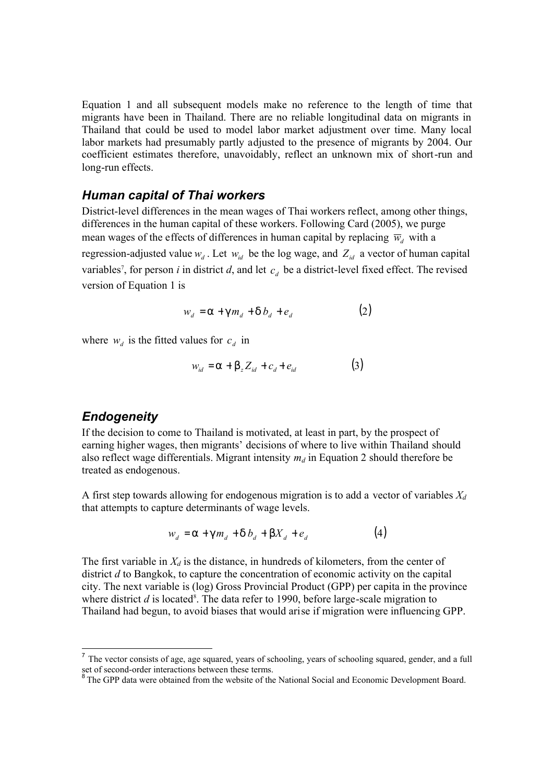Equation 1 and all subsequent models make no reference to the length of time that migrants have been in Thailand. There are no reliable longitudinal data on migrants in Thailand that could be used to model labor market adjustment over time. Many local labor markets had presumably partly adjusted to the presence of migrants by 2004. Our coefficient estimates therefore, unavoidably, reflect an unknown mix of short-run and long-run effects.

#### *Human capital of Thai workers*

District-level differences in the mean wages of Thai workers reflect, among other things, differences in the human capital of these workers. Following Card (2005), we purge mean wages of the effects of differences in human capital by replacing  $\overline{w}_d$  with a

regression-adjusted value  $w_d$ . Let  $w_{id}$  be the log wage, and  $Z_{id}$  a vector of human capital variables<sup>7</sup>, for person *i* in district *d*, and let  $c_d$  be a district-level fixed effect. The revised version of Equation 1 is

$$
w_d = a + g m_d + d b_d + e_d \tag{2}
$$

where  $w_d$  is the fitted values for  $c_d$  in

$$
w_{id} = a + b_z Z_{id} + c_d + e_{id} \tag{3}
$$

### *Endogeneity*

-

If the decision to come to Thailand is motivated, at least in part, by the prospect of earning higher wages, then migrants' decisions of where to live within Thailand should also reflect wage differentials. Migrant intensity *m<sup>d</sup>* in Equation 2 should therefore be treated as endogenous.

A first step towards allowing for endogenous migration is to add a vector of variables *X<sup>d</sup>* that attempts to capture determinants of wage levels.

$$
w_d = a + g m_d + d b_d + b X_d + e_d \tag{4}
$$

The first variable in *X<sup>d</sup>* is the distance, in hundreds of kilometers, from the center of district *d* to Bangkok, to capture the concentration of economic activity on the capital city. The next variable is (log) Gross Provincial Product (GPP) per capita in the province where district  $d$  is located<sup>8</sup>. The data refer to 1990, before large-scale migration to Thailand had begun, to avoid biases that would arise if migration were influencing GPP.

<sup>&</sup>lt;sup>7</sup> The vector consists of age, age squared, years of schooling, years of schooling squared, gender, and a full set of second-order interactions between these terms.

<sup>&</sup>lt;sup>8</sup> The GPP data were obtained from the website of the National Social and Economic Development Board.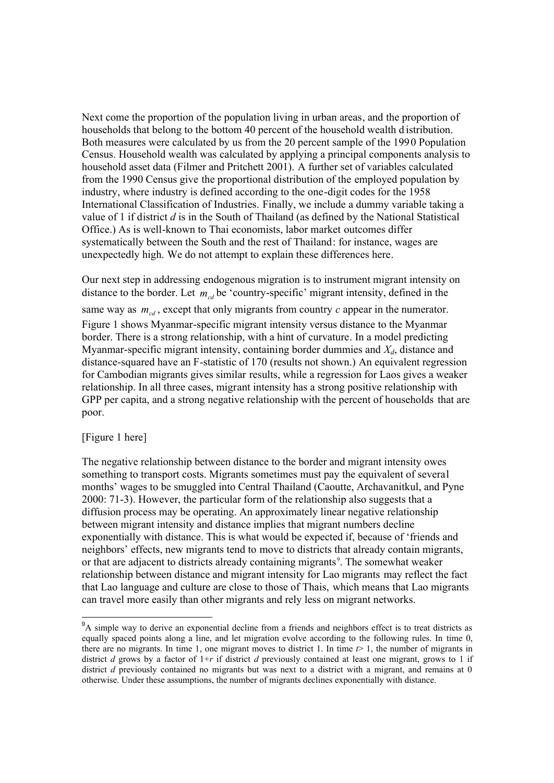Next come the proportion of the population living in urban areas, and the proportion of households that belong to the bottom 40 percent of the household wealth d istribution. Both measures were calculated by us from the 20 percent sample of the 1990 Population Census. Household wealth was calculated by applying a principal components analysis to household asset data (Filmer and Pritchett 2001). A further set of variables calculated from the 1990 Census give the proportional distribution of the employed population by industry, where industry is defined according to the one-digit codes for the 1958 International Classification of Industries. Finally, we include a dummy variable taking a value of 1 if district *d* is in the South of Thailand (as defined by the National Statistical Office.) As is well-known to Thai economists, labor market outcomes differ systematically between the South and the rest of Thailand: for instance, wages are unexpectedly high. We do not attempt to explain these differences here.

Our next step in addressing endogenous migration is to instrument migrant intensity on distance to the border. Let  $m_{cd}$  be 'country-specific' migrant intensity, defined in the same way as  $m_{cd}$ , except that only migrants from country  $c$  appear in the numerator. Figure 1 shows Myanmar-specific migrant intensity versus distance to the Myanmar border. There is a strong relationship, with a hint of curvature. In a model predicting Myanmar-specific migrant intensity, containing border dummies and *Xd*, distance and distance-squared have an F-statistic of 170 (results not shown.) An equivalent regression for Cambodian migrants gives similar results, while a regression for Laos gives a weaker relationship. In all three cases, migrant intensity has a strong positive relationship with GPP per capita, and a strong negative relationship with the percent of households that are poor.

#### [Figure 1 here]

 $\overline{\phantom{a}}$ 

The negative relationship between distance to the border and migrant intensity owes something to transport costs. Migrants sometimes must pay the equivalent of several months' wages to be smuggled into Central Thailand (Caoutte, Archavanitkul, and Pyne 2000: 71-3). However, the particular form of the relationship also suggests that a diffusion process may be operating. An approximately linear negative relationship between migrant intensity and distance implies that migrant numbers decline exponentially with distance. This is what would be expected if, because of 'friends and neighbors' effects, new migrants tend to move to districts that already contain migrants, or that are adjacent to districts already containing migrants<sup>9</sup>. The somewhat weaker relationship between distance and migrant intensity for Lao migrants may reflect the fact that Lao language and culture are close to those of Thais, which means that Lao migrants can travel more easily than other migrants and rely less on migrant networks.

<sup>&</sup>lt;sup>9</sup>A simple way to derive an exponential decline from a friends and neighbors effect is to treat districts as equally spaced points along a line, and let migration evolve according to the following rules. In time 0, there are no migrants. In time 1, one migrant moves to district 1. In time  $t > 1$ , the number of migrants in district *d* grows by a factor of 1+*r* if district *d* previously contained at least one migrant, grows to 1 if district *d* previously contained no migrants but was next to a district with a migrant, and remains at 0 otherwise. Under these assumptions, the number of migrants declines exponentially with distance.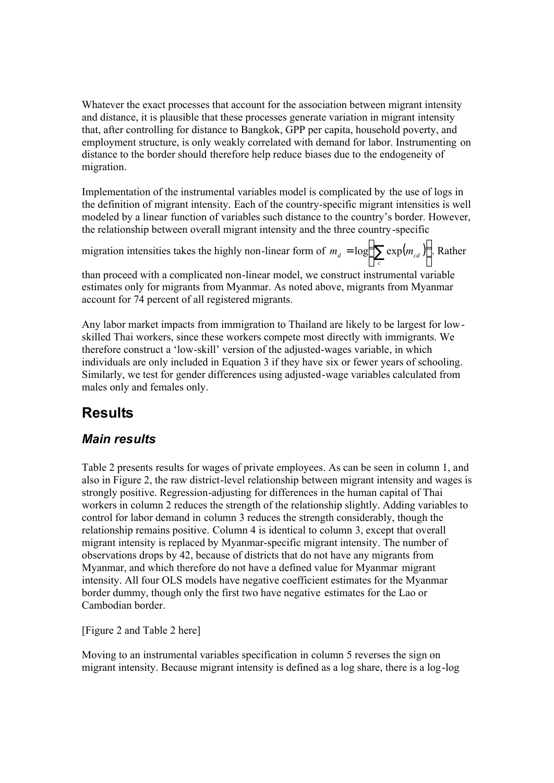Whatever the exact processes that account for the association between migrant intensity and distance, it is plausible that these processes generate variation in migrant intensity that, after controlling for distance to Bangkok, GPP per capita, household poverty, and employment structure, is only weakly correlated with demand for labor. Instrumenting on distance to the border should therefore help reduce biases due to the endogeneity of migration.

Implementation of the instrumental variables model is complicated by the use of logs in the definition of migrant intensity. Each of the country-specific migrant intensities is well modeled by a linear function of variables such distance to the country's border. However, the relationship between overall migrant intensity and the three country-specific

migration intensities takes the highly non-linear form of  $m_d = \log |\sum_{i} exp(m_{cd})|$  $\bigg)$  $\left(\sum_{c} \exp(m_{cd})\right)$ l  $m_d = \log \left( \sum_c \exp(m_{cd}) \right)$ . Rather

than proceed with a complicated non-linear model, we construct instrumental variable estimates only for migrants from Myanmar. As noted above, migrants from Myanmar account for 74 percent of all registered migrants.

Any labor market impacts from immigration to Thailand are likely to be largest for lowskilled Thai workers, since these workers compete most directly with immigrants. We therefore construct a 'low-skill' version of the adjusted-wages variable, in which individuals are only included in Equation 3 if they have six or fewer years of schooling. Similarly, we test for gender differences using adjusted-wage variables calculated from males only and females only.

# **Results**

## *Main results*

Table 2 presents results for wages of private employees. As can be seen in column 1, and also in Figure 2, the raw district-level relationship between migrant intensity and wages is strongly positive. Regression-adjusting for differences in the human capital of Thai workers in column 2 reduces the strength of the relationship slightly. Adding variables to control for labor demand in column 3 reduces the strength considerably, though the relationship remains positive. Column 4 is identical to column 3, except that overall migrant intensity is replaced by Myanmar-specific migrant intensity. The number of observations drops by 42, because of districts that do not have any migrants from Myanmar, and which therefore do not have a defined value for Myanmar migrant intensity. All four OLS models have negative coefficient estimates for the Myanmar border dummy, though only the first two have negative estimates for the Lao or Cambodian border.

[Figure 2 and Table 2 here]

Moving to an instrumental variables specification in column 5 reverses the sign on migrant intensity. Because migrant intensity is defined as a log share, there is a log-log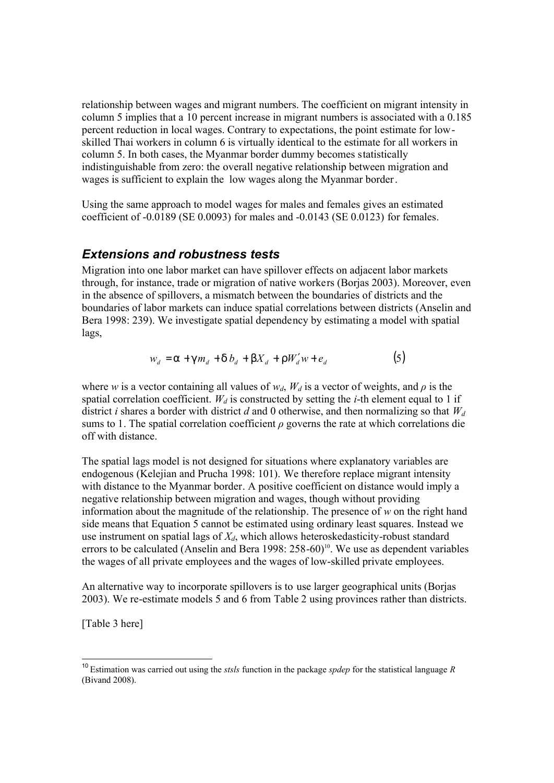relationship between wages and migrant numbers. The coefficient on migrant intensity in column 5 implies that a 10 percent increase in migrant numbers is associated with a 0.185 percent reduction in local wages. Contrary to expectations, the point estimate for lowskilled Thai workers in column 6 is virtually identical to the estimate for all workers in column 5. In both cases, the Myanmar border dummy becomes statistically indistinguishable from zero: the overall negative relationship between migration and wages is sufficient to explain the low wages along the Myanmar border.

Using the same approach to model wages for males and females gives an estimated coefficient of -0.0189 (SE 0.0093) for males and -0.0143 (SE 0.0123) for females.

#### *Extensions and robustness tests*

Migration into one labor market can have spillover effects on adjacent labor markets through, for instance, trade or migration of native workers (Borjas 2003). Moreover, even in the absence of spillovers, a mismatch between the boundaries of districts and the boundaries of labor markets can induce spatial correlations between districts (Anselin and Bera 1998: 239). We investigate spatial dependency by estimating a model with spatial lags,

$$
w_d = a + g m_d + d b_d + b X_d + r W'_d w + e_d \tag{5}
$$

where *w* is a vector containing all values of  $w_d$ ,  $W_d$  is a vector of weights, and  $\rho$  is the spatial correlation coefficient.  $W_d$  is constructed by setting the *i*-th element equal to 1 if district *i* shares a border with district *d* and 0 otherwise, and then normalizing so that *W<sup>d</sup>* sums to 1. The spatial correlation coefficient *ρ* governs the rate at which correlations die off with distance.

The spatial lags model is not designed for situations where explanatory variables are endogenous (Kelejian and Prucha 1998: 101). We therefore replace migrant intensity with distance to the Myanmar border. A positive coefficient on distance would imply a negative relationship between migration and wages, though without providing information about the magnitude of the relationship. The presence of *w* on the right hand side means that Equation 5 cannot be estimated using ordinary least squares. Instead we use instrument on spatial lags of *Xd*, which allows heteroskedasticity-robust standard errors to be calculated (Anselin and Bera 1998:  $258-60$ )<sup>10</sup>. We use as dependent variables the wages of all private employees and the wages of low-skilled private employees.

An alternative way to incorporate spillovers is to use larger geographical units (Borjas 2003). We re-estimate models 5 and 6 from Table 2 using provinces rather than districts.

[Table 3 here]

 $\overline{\phantom{a}}$ 

<sup>10</sup> Estimation was carried out using the *stsls* function in the package *spdep* for the statistical language *R* (Bivand 2008).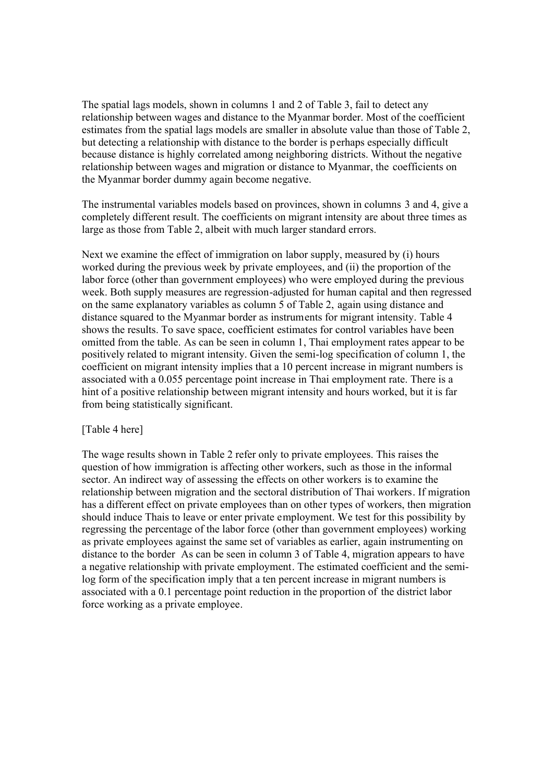The spatial lags models, shown in columns 1 and 2 of Table 3, fail to detect any relationship between wages and distance to the Myanmar border. Most of the coefficient estimates from the spatial lags models are smaller in absolute value than those of Table 2, but detecting a relationship with distance to the border is perhaps especially difficult because distance is highly correlated among neighboring districts. Without the negative relationship between wages and migration or distance to Myanmar, the coefficients on the Myanmar border dummy again become negative.

The instrumental variables models based on provinces, shown in columns 3 and 4, give a completely different result. The coefficients on migrant intensity are about three times as large as those from Table 2, albeit with much larger standard errors.

Next we examine the effect of immigration on labor supply, measured by (i) hours worked during the previous week by private employees, and (ii) the proportion of the labor force (other than government employees) who were employed during the previous week. Both supply measures are regression-adjusted for human capital and then regressed on the same explanatory variables as column 5 of Table 2, again using distance and distance squared to the Myanmar border as instruments for migrant intensity. Table 4 shows the results. To save space, coefficient estimates for control variables have been omitted from the table. As can be seen in column 1, Thai employment rates appear to be positively related to migrant intensity. Given the semi-log specification of column 1, the coefficient on migrant intensity implies that a 10 percent increase in migrant numbers is associated with a 0.055 percentage point increase in Thai employment rate. There is a hint of a positive relationship between migrant intensity and hours worked, but it is far from being statistically significant.

#### [Table 4 here]

The wage results shown in Table 2 refer only to private employees. This raises the question of how immigration is affecting other workers, such as those in the informal sector. An indirect way of assessing the effects on other workers is to examine the relationship between migration and the sectoral distribution of Thai workers. If migration has a different effect on private employees than on other types of workers, then migration should induce Thais to leave or enter private employment. We test for this possibility by regressing the percentage of the labor force (other than government employees) working as private employees against the same set of variables as earlier, again instrumenting on distance to the border As can be seen in column 3 of Table 4, migration appears to have a negative relationship with private employment. The estimated coefficient and the semilog form of the specification imply that a ten percent increase in migrant numbers is associated with a 0.1 percentage point reduction in the proportion of the district labor force working as a private employee.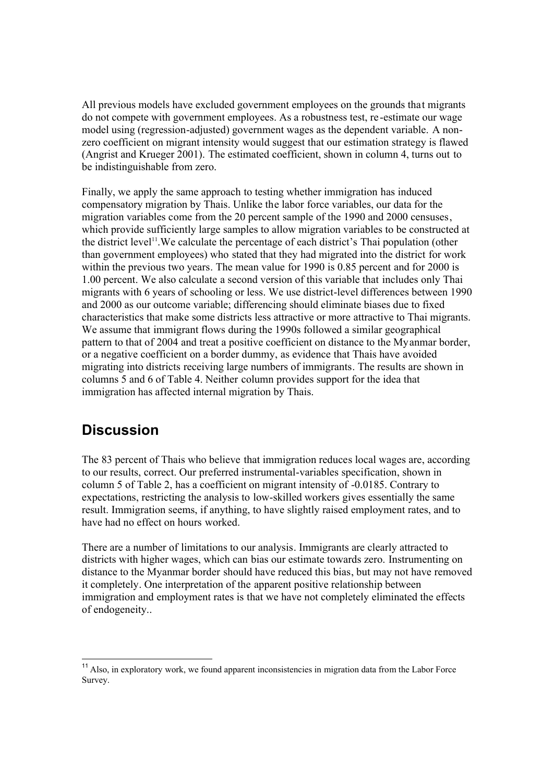All previous models have excluded government employees on the grounds that migrants do not compete with government employees. As a robustness test, re -estimate our wage model using (regression-adjusted) government wages as the dependent variable. A nonzero coefficient on migrant intensity would suggest that our estimation strategy is flawed (Angrist and Krueger 2001). The estimated coefficient, shown in column 4, turns out to be indistinguishable from zero.

Finally, we apply the same approach to testing whether immigration has induced compensatory migration by Thais. Unlike the labor force variables, our data for the migration variables come from the 20 percent sample of the 1990 and 2000 censuses, which provide sufficiently large samples to allow migration variables to be constructed at the district level<sup>11</sup>. We calculate the percentage of each district's Thai population (other than government employees) who stated that they had migrated into the district for work within the previous two years. The mean value for 1990 is 0.85 percent and for 2000 is 1.00 percent. We also calculate a second version of this variable that includes only Thai migrants with 6 years of schooling or less. We use district-level differences between 1990 and 2000 as our outcome variable; differencing should eliminate biases due to fixed characteristics that make some districts less attractive or more attractive to Thai migrants. We assume that immigrant flows during the 1990s followed a similar geographical pattern to that of 2004 and treat a positive coefficient on distance to the Myanmar border, or a negative coefficient on a border dummy, as evidence that Thais have avoided migrating into districts receiving large numbers of immigrants. The results are shown in columns 5 and 6 of Table 4. Neither column provides support for the idea that immigration has affected internal migration by Thais.

# **Discussion**

 $\overline{\phantom{a}}$ 

The 83 percent of Thais who believe that immigration reduces local wages are, according to our results, correct. Our preferred instrumental-variables specification, shown in column 5 of Table 2, has a coefficient on migrant intensity of -0.0185. Contrary to expectations, restricting the analysis to low-skilled workers gives essentially the same result. Immigration seems, if anything, to have slightly raised employment rates, and to have had no effect on hours worked.

There are a number of limitations to our analysis. Immigrants are clearly attracted to districts with higher wages, which can bias our estimate towards zero. Instrumenting on distance to the Myanmar border should have reduced this bias, but may not have removed it completely. One interpretation of the apparent positive relationship between immigration and employment rates is that we have not completely eliminated the effects of endogeneity..

<sup>&</sup>lt;sup>11</sup> Also, in exploratory work, we found apparent inconsistencies in migration data from the Labor Force Survey.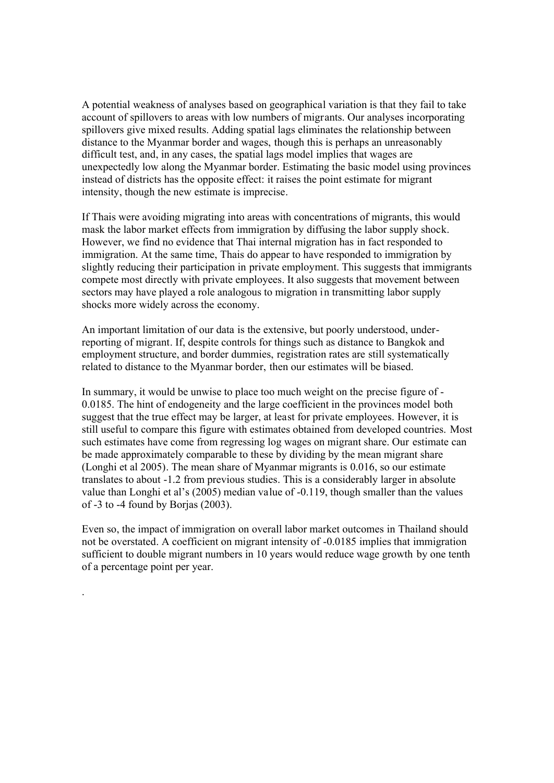A potential weakness of analyses based on geographical variation is that they fail to take account of spillovers to areas with low numbers of migrants. Our analyses incorporating spillovers give mixed results. Adding spatial lags eliminates the relationship between distance to the Myanmar border and wages, though this is perhaps an unreasonably difficult test, and, in any cases, the spatial lags model implies that wages are unexpectedly low along the Myanmar border. Estimating the basic model using provinces instead of districts has the opposite effect: it raises the point estimate for migrant intensity, though the new estimate is imprecise.

If Thais were avoiding migrating into areas with concentrations of migrants, this would mask the labor market effects from immigration by diffusing the labor supply shock. However, we find no evidence that Thai internal migration has in fact responded to immigration. At the same time, Thais do appear to have responded to immigration by slightly reducing their participation in private employment. This suggests that immigrants compete most directly with private employees. It also suggests that movement between sectors may have played a role analogous to migration in transmitting labor supply shocks more widely across the economy.

An important limitation of our data is the extensive, but poorly understood, underreporting of migrant. If, despite controls for things such as distance to Bangkok and employment structure, and border dummies, registration rates are still systematically related to distance to the Myanmar border, then our estimates will be biased.

In summary, it would be unwise to place too much weight on the precise figure of - 0.0185. The hint of endogeneity and the large coefficient in the provinces model both suggest that the true effect may be larger, at least for private employees. However, it is still useful to compare this figure with estimates obtained from developed countries. Most such estimates have come from regressing log wages on migrant share. Our estimate can be made approximately comparable to these by dividing by the mean migrant share (Longhi et al 2005). The mean share of Myanmar migrants is 0.016, so our estimate translates to about -1.2 from previous studies. This is a considerably larger in absolute value than Longhi et al's (2005) median value of -0.119, though smaller than the values of -3 to -4 found by Borjas (2003).

Even so, the impact of immigration on overall labor market outcomes in Thailand should not be overstated. A coefficient on migrant intensity of -0.0185 implies that immigration sufficient to double migrant numbers in 10 years would reduce wage growth by one tenth of a percentage point per year.

.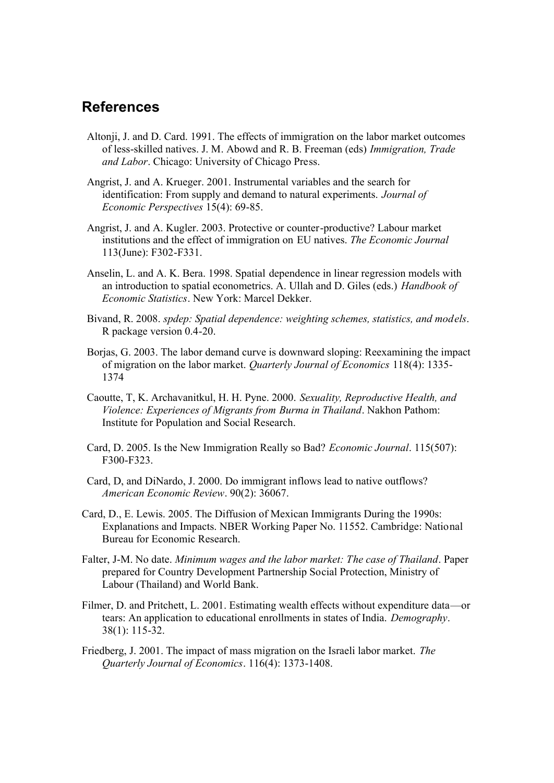## **References**

- Altonji, J. and D. Card. 1991. The effects of immigration on the labor market outcomes of less-skilled natives. J. M. Abowd and R. B. Freeman (eds) *Immigration, Trade and Labor*. Chicago: University of Chicago Press.
- Angrist, J. and A. Krueger. 2001. Instrumental variables and the search for identification: From supply and demand to natural experiments. *Journal of Economic Perspectives* 15(4): 69-85.
- Angrist, J. and A. Kugler. 2003. Protective or counter-productive? Labour market institutions and the effect of immigration on EU natives. *The Economic Journal* 113(June): F302-F331.
- Anselin, L. and A. K. Bera. 1998. Spatial dependence in linear regression models with an introduction to spatial econometrics. A. Ullah and D. Giles (eds.) *Handbook of Economic Statistics*. New York: Marcel Dekker.
- Bivand, R. 2008. *spdep: Spatial dependence: weighting schemes, statistics, and models*. R package version 0.4-20.
- Borjas, G. 2003. The labor demand curve is downward sloping: Reexamining the impact of migration on the labor market. *Quarterly Journal of Economics* 118(4): 1335- 1374
- Caoutte, T, K. Archavanitkul, H. H. Pyne. 2000. *Sexuality, Reproductive Health, and Violence: Experiences of Migrants from Burma in Thailand*. Nakhon Pathom: Institute for Population and Social Research.
- Card, D. 2005. Is the New Immigration Really so Bad? *Economic Journal*. 115(507): F300-F323.
- Card, D, and DiNardo, J. 2000. Do immigrant inflows lead to native outflows? *American Economic Review*. 90(2): 36067.
- Card, D., E. Lewis. 2005. The Diffusion of Mexican Immigrants During the 1990s: Explanations and Impacts. NBER Working Paper No. 11552. Cambridge: National Bureau for Economic Research.
- Falter, J-M. No date. *Minimum wages and the labor market: The case of Thailand*. Paper prepared for Country Development Partnership Social Protection, Ministry of Labour (Thailand) and World Bank.
- Filmer, D. and Pritchett, L. 2001. Estimating wealth effects without expenditure data—or tears: An application to educational enrollments in states of India. *Demography*. 38(1): 115-32.
- Friedberg, J. 2001. The impact of mass migration on the Israeli labor market. *The Quarterly Journal of Economics*. 116(4): 1373-1408.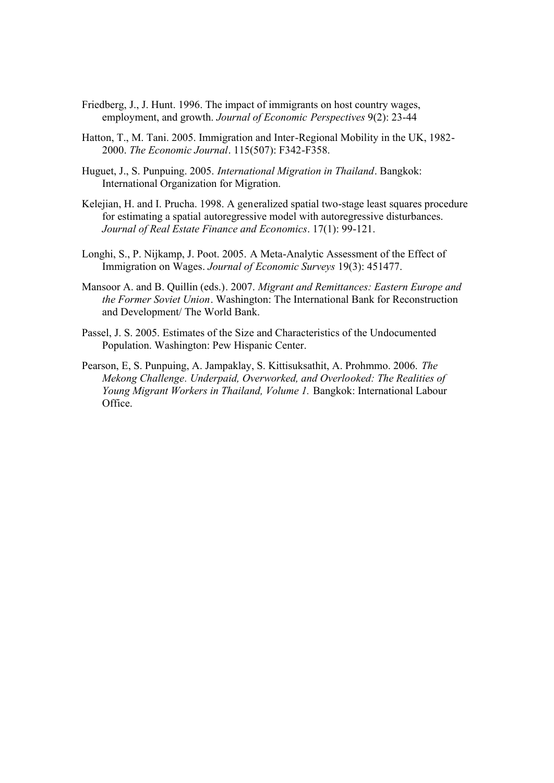- Friedberg, J., J. Hunt. 1996. The impact of immigrants on host country wages, employment, and growth. *Journal of Economic Perspectives* 9(2): 23-44
- Hatton, T., M. Tani. 2005. Immigration and Inter-Regional Mobility in the UK, 1982- 2000. *The Economic Journal*. 115(507): F342-F358.
- Huguet, J., S. Punpuing. 2005. *International Migration in Thailand*. Bangkok: International Organization for Migration.
- Kelejian, H. and I. Prucha. 1998. A generalized spatial two-stage least squares procedure for estimating a spatial autoregressive model with autoregressive disturbances. *Journal of Real Estate Finance and Economics*. 17(1): 99-121.
- Longhi, S., P. Nijkamp, J. Poot. 2005. A Meta-Analytic Assessment of the Effect of Immigration on Wages. *Journal of Economic Surveys* 19(3): 451477.
- Mansoor A. and B. Quillin (eds.). 2007. *Migrant and Remittances: Eastern Europe and the Former Soviet Union*. Washington: The International Bank for Reconstruction and Development/ The World Bank.
- Passel, J. S. 2005. Estimates of the Size and Characteristics of the Undocumented Population. Washington: Pew Hispanic Center.
- Pearson, E, S. Punpuing, A. Jampaklay, S. Kittisuksathit, A. Prohmmo. 2006. *The Mekong Challenge. Underpaid, Overworked, and Overlooked: The Realities of Young Migrant Workers in Thailand, Volume 1.* Bangkok: International Labour Office.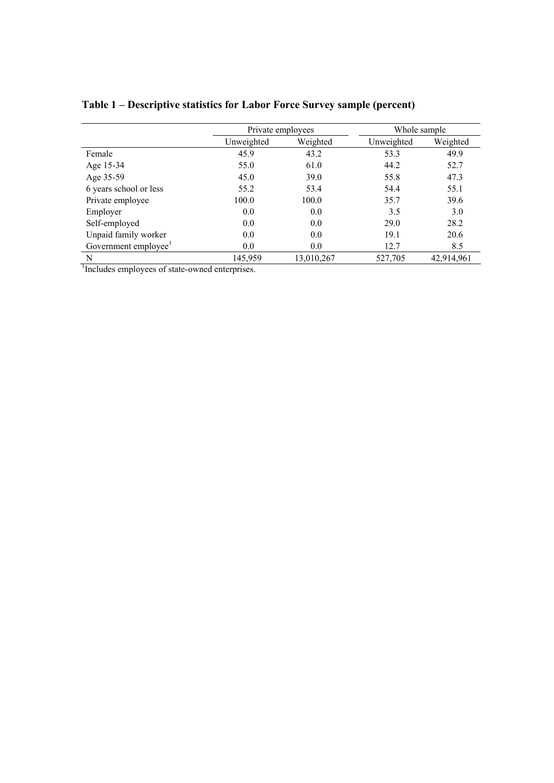|                                  | Private employees |            | Whole sample |            |
|----------------------------------|-------------------|------------|--------------|------------|
|                                  | Unweighted        | Weighted   | Unweighted   | Weighted   |
| Female                           | 45.9              | 43.2       | 53.3         | 49.9       |
| Age 15-34                        | 55.0              | 61.0       | 44.2         | 52.7       |
| Age 35-59                        | 45.0              | 39.0       | 55.8         | 47.3       |
| 6 years school or less           | 55.2              | 53.4       | 54.4         | 55.1       |
| Private employee                 | 100.0             | 100.0      | 35.7         | 39.6       |
| Employer                         | 0.0               | 0.0        | 3.5          | 3.0        |
| Self-employed                    | 0.0               | 0.0        | 29.0         | 28.2       |
| Unpaid family worker             | 0.0               | 0.0        | 19.1         | 20.6       |
| Government employee <sup>1</sup> | 0.0               | 0.0        | 12.7         | 8.5        |
| N                                | 145,959           | 13,010,267 | 527,705      | 42,914,961 |

**Table 1 – Descriptive statistics for Labor Force Survey sample (percent)** 

<sup>1</sup>Includes employees of state-owned enterprises.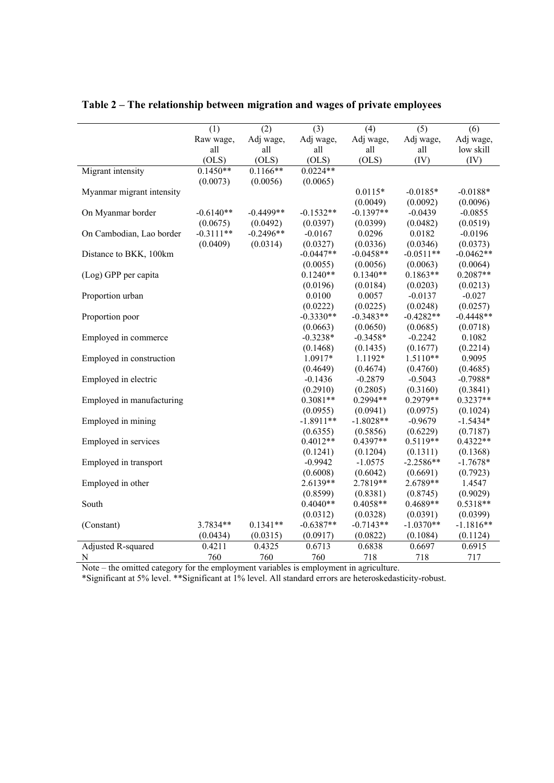|                           | (1)         | (2)         | (3)         | (4)         | (5)         | (6)         |
|---------------------------|-------------|-------------|-------------|-------------|-------------|-------------|
|                           | Raw wage,   | Adj wage,   | Adj wage,   | Adj wage,   | Adj wage,   | Adj wage,   |
|                           | all         | all         | all         | all         | all         | low skill   |
|                           | (OLS)       | (OLS)       | (OLS)       | (OLS)       | (IV)        | (IV)        |
| Migrant intensity         | $0.1450**$  | $0.1166**$  | $0.0224**$  |             |             |             |
|                           | (0.0073)    | (0.0056)    | (0.0065)    |             |             |             |
| Myanmar migrant intensity |             |             |             | $0.0115*$   | $-0.0185*$  | $-0.0188*$  |
|                           |             |             |             | (0.0049)    | (0.0092)    | (0.0096)    |
| On Myanmar border         | $-0.6140**$ | $-0.4499**$ | $-0.1532**$ | $-0.1397**$ | $-0.0439$   | $-0.0855$   |
|                           | (0.0675)    | (0.0492)    | (0.0397)    | (0.0399)    | (0.0482)    | (0.0519)    |
| On Cambodian, Lao border  | $-0.3111**$ | $-0.2496**$ | $-0.0167$   | 0.0296      | 0.0182      | $-0.0196$   |
|                           | (0.0409)    | (0.0314)    | (0.0327)    | (0.0336)    | (0.0346)    | (0.0373)    |
| Distance to BKK, 100km    |             |             | $-0.0447**$ | $-0.0458**$ | $-0.0511**$ | $-0.0462**$ |
|                           |             |             | (0.0055)    | (0.0056)    | (0.0063)    | (0.0064)    |
| (Log) GPP per capita      |             |             | $0.1240**$  | $0.1340**$  | $0.1863**$  | $0.2087**$  |
|                           |             |             | (0.0196)    | (0.0184)    | (0.0203)    | (0.0213)    |
| Proportion urban          |             |             | 0.0100      | 0.0057      | $-0.0137$   | $-0.027$    |
|                           |             |             | (0.0222)    | (0.0225)    | (0.0248)    | (0.0257)    |
| Proportion poor           |             |             | $-0.3330**$ | $-0.3483**$ | $-0.4282**$ | $-0.4448**$ |
|                           |             |             | (0.0663)    | (0.0650)    | (0.0685)    | (0.0718)    |
| Employed in commerce      |             |             | $-0.3238*$  | $-0.3458*$  | $-0.2242$   | 0.1082      |
|                           |             |             | (0.1468)    | (0.1435)    | (0.1677)    | (0.2214)    |
| Employed in construction  |             |             | 1.0917*     | 1.1192*     | $1.5110**$  | 0.9095      |
|                           |             |             | (0.4649)    | (0.4674)    | (0.4760)    | (0.4685)    |
| Employed in electric      |             |             | $-0.1436$   | $-0.2879$   | $-0.5043$   | $-0.7988*$  |
|                           |             |             | (0.2910)    | (0.2805)    | (0.3160)    | (0.3841)    |
| Employed in manufacturing |             |             | $0.3081**$  | $0.2994**$  | $0.2979**$  | $0.3237**$  |
|                           |             |             | (0.0955)    | (0.0941)    | (0.0975)    | (0.1024)    |
| Employed in mining        |             |             | $-1.8911**$ | $-1.8028**$ | $-0.9679$   | $-1.5434*$  |
|                           |             |             | (0.6355)    | (0.5856)    | (0.6229)    | (0.7187)    |
| Employed in services      |             |             | $0.4012**$  | $0.4397**$  | $0.5119**$  | $0.4322**$  |
|                           |             |             | (0.1241)    | (0.1204)    | (0.1311)    | (0.1368)    |
| Employed in transport     |             |             | $-0.9942$   | $-1.0575$   | $-2.2586**$ | $-1.7678*$  |
|                           |             |             | (0.6008)    | (0.6042)    | (0.6691)    | (0.7923)    |
| Employed in other         |             |             | 2.6139**    | 2.7819**    | 2.6789**    | 1.4547      |
|                           |             |             | (0.8599)    | (0.8381)    | (0.8745)    | (0.9029)    |
| South                     |             |             | $0.4040**$  | $0.4058**$  | 0.4689**    | $0.5318**$  |
|                           |             |             | (0.0312)    | (0.0328)    | (0.0391)    | (0.0399)    |
| (Constant)                | 3.7834**    | $0.1341**$  | $-0.6387**$ | $-0.7143**$ | $-1.0370**$ | $-1.1816**$ |
|                           | (0.0434)    | (0.0315)    | (0.0917)    | (0.0822)    | (0.1084)    | (0.1124)    |
| Adjusted R-squared        | 0.4211      | 0.4325      | 0.6713      | 0.6838      | 0.6697      | 0.6915      |
| $\mathbf N$               | 760         | 760         | 760         | 718         | 718         | 717         |

**Table 2 – The relationship between migration and wages of private employees**

Note – the omitted category for the employment variables is employment in agriculture.

\*Significant at 5% level. \*\*Significant at 1% level. All standard errors are heteroskedasticity-robust.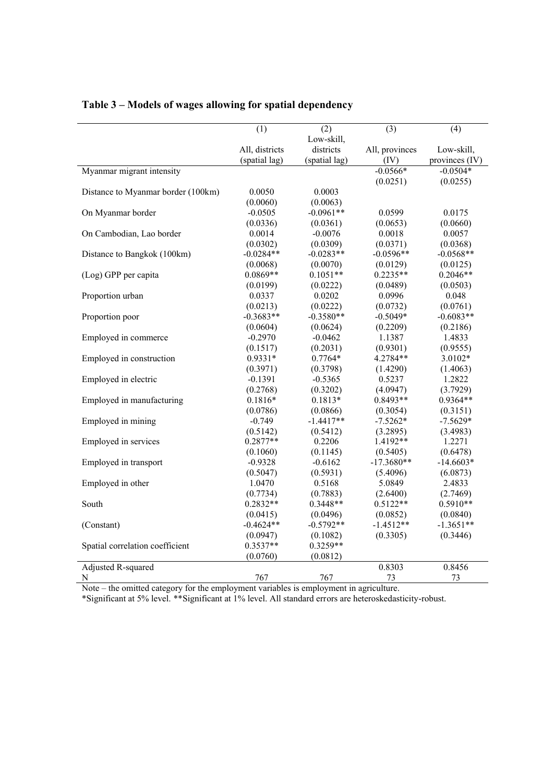|                                    | (1)            | (2)           | (3)            | (4)            |
|------------------------------------|----------------|---------------|----------------|----------------|
|                                    |                | Low-skill,    |                |                |
|                                    | All, districts | districts     | All, provinces | Low-skill,     |
|                                    | (spatial lag)  | (spatial lag) | (IV)           | provinces (IV) |
| Myanmar migrant intensity          |                |               | $-0.0566*$     | $-0.0504*$     |
|                                    |                |               | (0.0251)       | (0.0255)       |
| Distance to Myanmar border (100km) | 0.0050         | 0.0003        |                |                |
|                                    | (0.0060)       | (0.0063)      |                |                |
| On Myanmar border                  | $-0.0505$      | $-0.0961**$   | 0.0599         | 0.0175         |
|                                    | (0.0336)       | (0.0361)      | (0.0653)       | (0.0660)       |
| On Cambodian, Lao border           | 0.0014         | $-0.0076$     | 0.0018         | 0.0057         |
|                                    | (0.0302)       | (0.0309)      | (0.0371)       | (0.0368)       |
| Distance to Bangkok (100km)        | $-0.0284**$    | $-0.0283**$   | $-0.0596**$    | $-0.0568**$    |
|                                    | (0.0068)       | (0.0070)      | (0.0129)       | (0.0125)       |
| (Log) GPP per capita               | $0.0869**$     | $0.1051**$    | $0.2235**$     | $0.2046**$     |
|                                    | (0.0199)       | (0.0222)      | (0.0489)       | (0.0503)       |
| Proportion urban                   | 0.0337         | 0.0202        | 0.0996         | 0.048          |
|                                    | (0.0213)       | (0.0222)      | (0.0732)       | (0.0761)       |
| Proportion poor                    | $-0.3683**$    | $-0.3580**$   | $-0.5049*$     | $-0.6083**$    |
|                                    | (0.0604)       | (0.0624)      | (0.2209)       | (0.2186)       |
| Employed in commerce               | $-0.2970$      | $-0.0462$     | 1.1387         | 1.4833         |
|                                    | (0.1517)       | (0.2031)      | (0.9301)       | (0.9555)       |
| Employed in construction           | 0.9331*        | $0.7764*$     | 4.2784**       | 3.0102*        |
|                                    | (0.3971)       | (0.3798)      | (1.4290)       | (1.4063)       |
| Employed in electric               | $-0.1391$      | $-0.5365$     | 0.5237         | 1.2822         |
|                                    | (0.2768)       | (0.3202)      | (4.0947)       | (3.7929)       |
| Employed in manufacturing          | $0.1816*$      | $0.1813*$     | $0.8493**$     | $0.9364**$     |
|                                    | (0.0786)       | (0.0866)      | (0.3054)       | (0.3151)       |
| Employed in mining                 | $-0.749$       | $-1.4417**$   | $-7.5262*$     | $-7.5629*$     |
|                                    | (0.5142)       | (0.5412)      | (3.2895)       | (3.4983)       |
| Employed in services               | $0.2877**$     | 0.2206        | 1.4192**       | 1.2271         |
|                                    | (0.1060)       | (0.1145)      | (0.5405)       | (0.6478)       |
| Employed in transport              | $-0.9328$      | $-0.6162$     | $-17.3680**$   | $-14.6603*$    |
|                                    | (0.5047)       | (0.5931)      | (5.4096)       | (6.0873)       |
| Employed in other                  | 1.0470         | 0.5168        | 5.0849         | 2.4833         |
|                                    | (0.7734)       | (0.7883)      | (2.6400)       | (2.7469)       |
| South                              | $0.2832**$     | $0.3448**$    | $0.5122**$     | $0.5910**$     |
|                                    | (0.0415)       | (0.0496)      | (0.0852)       | (0.0840)       |
| (Constant)                         | $-0.4624**$    | $-0.5792**$   | $-1.4512**$    | $-1.3651**$    |
|                                    | (0.0947)       | (0.1082)      | (0.3305)       | (0.3446)       |
| Spatial correlation coefficient    | $0.3537**$     | $0.3259**$    |                |                |
|                                    | (0.0760)       | (0.0812)      |                |                |
| Adjusted R-squared                 |                |               | 0.8303         | 0.8456         |
| N                                  | 767            | 767           | 73             | 73             |

### **Table 3 – Models of wages allowing for spatial dependency**

Note – the omitted category for the employment variables is employment in agriculture.

\*Significant at 5% level. \*\*Significant at 1% level. All standard errors are heteroskedasticity-robust.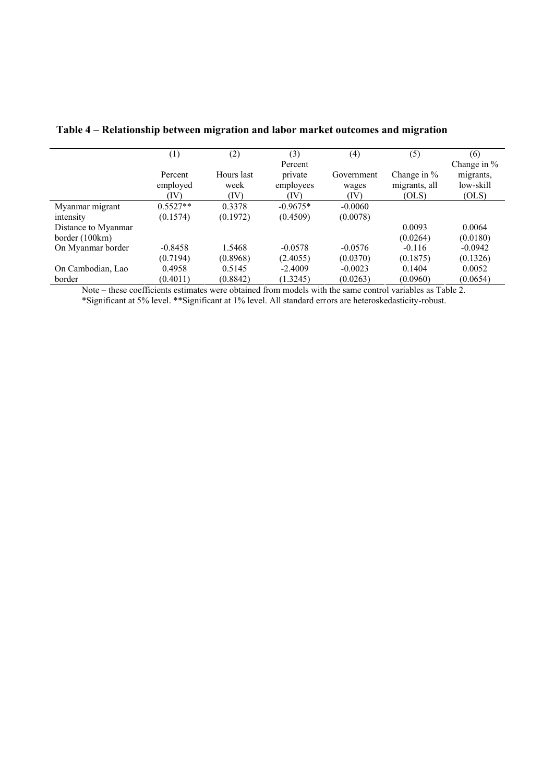|                     | $\left( 1\right)$ | (2)        | (3)        | (4)        | (5)           | (6)         |
|---------------------|-------------------|------------|------------|------------|---------------|-------------|
|                     |                   |            | Percent    |            |               | Change in % |
|                     | Percent           | Hours last | private    | Government | Change in $%$ | migrants,   |
|                     | employed          | week       | employees  | wages      | migrants, all | low-skill   |
|                     | (IV)              | (IV)       | (IV)       | (IV)       | (OLS)         | (OLS)       |
| Myanmar migrant     | $0.5527**$        | 0.3378     | $-0.9675*$ | $-0.0060$  |               |             |
| intensity           | (0.1574)          | (0.1972)   | (0.4509)   | (0.0078)   |               |             |
| Distance to Myanmar |                   |            |            |            | 0.0093        | 0.0064      |
| border $(100km)$    |                   |            |            |            | (0.0264)      | (0.0180)    |
| On Myanmar border   | $-0.8458$         | 1.5468     | $-0.0578$  | $-0.0576$  | $-0.116$      | $-0.0942$   |
|                     | (0.7194)          | (0.8968)   | (2.4055)   | (0.0370)   | (0.1875)      | (0.1326)    |
| On Cambodian, Lao   | 0.4958            | 0.5145     | $-2.4009$  | $-0.0023$  | 0.1404        | 0.0052      |
| border              | (0.4011)          | (0.8842)   | (1.3245)   | (0.0263)   | (0.0960)      | (0.0654)    |

**Table 4 – Relationship between migration and labor market outcomes and migration**

Note – these coefficients estimates were obtained from models with the same control variables as Table 2. \*Significant at 5% level. \*\*Significant at 1% level. All standard errors are heteroskedasticity-robust.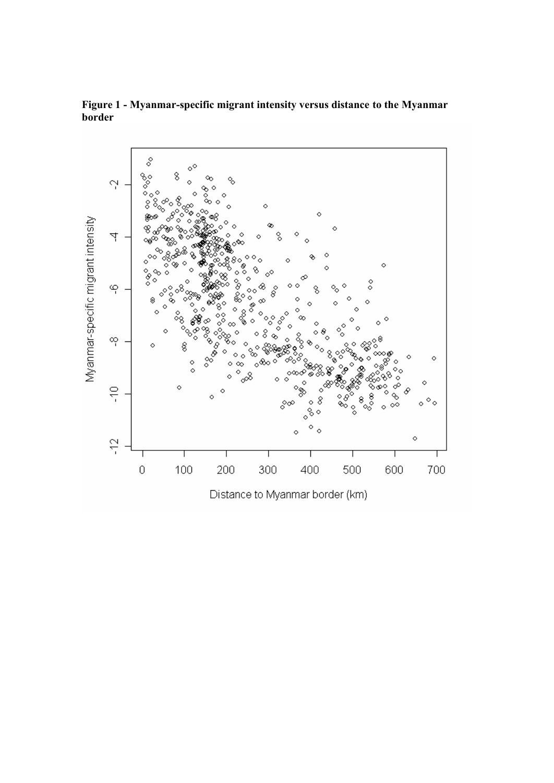

**Figure 1 - Myanmar-specific migrant intensity versus distance to the Myanmar border**